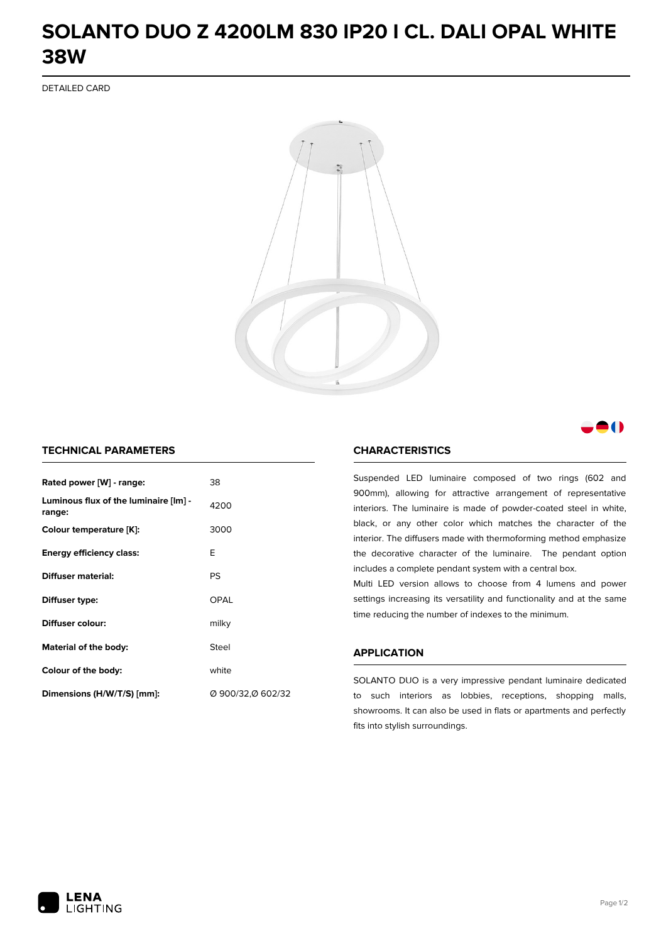## **SOLANTO DUO Z 4200LM 830 IP20 I CL. DALI OPAL WHITE 38W**

DETAILED CARD



### M

#### **TECHNICAL PARAMETERS**

| Rated power [W] - range:                        | 38                |
|-------------------------------------------------|-------------------|
| Luminous flux of the luminaire [lm] -<br>range: | 4200              |
| Colour temperature [K]:                         | 3000              |
| <b>Energy efficiency class:</b>                 | E                 |
| Diffuser material:                              | PS                |
| Diffuser type:                                  | OPAL              |
| Diffuser colour:                                | milky             |
| Material of the body:                           | Steel             |
| Colour of the body:                             | white             |
| Dimensions (H/W/T/S) [mm]:                      | Ø 900/32,Ø 602/32 |

#### **CHARACTERISTICS**

Suspended LED luminaire composed of two rings (602 and 900mm), allowing for attractive arrangement of representative interiors. The luminaire is made of powder-coated steel in white, black, or any other color which matches the character of the interior. The diffusers made with thermoforming method emphasize the decorative character of the luminaire. The pendant option includes a complete pendant system with a central box.

Multi LED version allows to choose from 4 lumens and power settings increasing its versatility and functionality and at the same time reducing the number of indexes to the minimum.

#### **APPLICATION**

SOLANTO DUO is a very impressive pendant luminaire dedicated to such interiors as lobbies, receptions, shopping malls, showrooms. It can also be used in flats or apartments and perfectly fits into stylish surroundings.